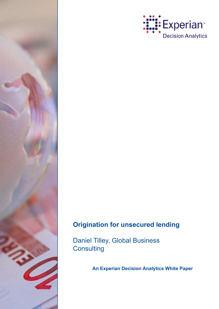



# **Origination for unsecured lending**

Daniel Tilley, Global Business **Consulting** 

**An Experian Decision Analytics White Paper**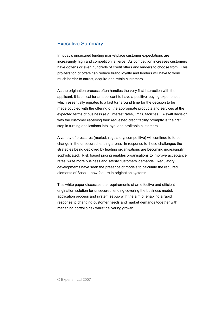## Executive Summary

In today's unsecured lending marketplace customer expectations are increasingly high and competition is fierce. As competition increases customers have dozens or even hundreds of credit offers and lenders to choose from. This proliferation of offers can reduce brand loyalty and lenders will have to work much harder to attract, acquire and retain customers

As the origination process often handles the very first interaction with the applicant, it is critical for an applicant to have a positive 'buying experience', which essentially equates to a fast turnaround time for the decision to be made coupled with the offering of the appropriate products and services at the expected terms of business (e.g. interest rates, limits, facilities). A swift decision with the customer receiving their requested credit facility promptly is the first step in turning applications into loyal and profitable customers.

A variety of pressures (market, regulatory, competitive) will continue to force change in the unsecured lending arena. In response to these challenges the strategies being deployed by leading organisations are becoming increasingly sophisticated. Risk based pricing enables organisations to improve acceptance rates, write more business and satisfy customers' demands. Regulatory developments have seen the presence of models to calculate the required elements of Basel II now feature in origination systems.

This white paper discusses the requirements of an effective and efficient origination solution for unsecured lending covering the business model, application process and system set-up with the aim of enabling a rapid response to changing customer needs and market demands together with managing portfolio risk whilst delivering growth.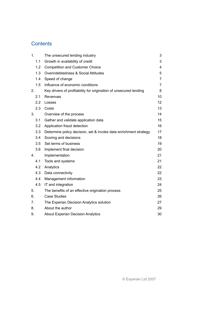# **Contents**

| 1.  | The unsecured lending industry                                    | 3  |
|-----|-------------------------------------------------------------------|----|
| 1.1 | Growth in availability of credit                                  | 3  |
| 1.2 | <b>Competition and Customer Choice</b>                            | 4  |
| 1.3 | Overindebtedness & Social Attitudes                               | 5  |
| 1.4 | Speed of change                                                   | 7  |
| 1.5 | Influence of economic conditions                                  | 7  |
| 2.  | Key drivers of profitability for origination of unsecured lending | 8  |
| 2.1 | Revenues                                                          | 10 |
| 2.2 | Losses                                                            | 12 |
| 2.3 | Costs                                                             | 13 |
| 3.  | Overview of the process                                           | 14 |
| 3.1 | Gather and validate application data                              | 15 |
| 3.2 | Application fraud detection                                       | 16 |
| 3.3 | Determine policy decision, set & invoke data enrichment strategy  | 17 |
| 3.4 | Scoring and decisions                                             | 18 |
| 3.5 | Set terms of business                                             | 19 |
| 3.6 | Implement final decision                                          | 20 |
| 4.  | Implementation                                                    | 21 |
| 4.1 | Tools and systems                                                 | 21 |
| 4.2 | Analytics                                                         | 22 |
| 4.3 | Data connectivity                                                 | 22 |
| 4.4 | Management information                                            | 23 |
| 4.5 | IT and integration                                                | 24 |
| 5.  | The benefits of an effective origination process                  | 25 |
| 6.  | <b>Case Studies</b>                                               | 26 |
| 7.  | The Experian Decision Analytics solution                          | 27 |
| 8.  | About the author                                                  | 29 |
| 9.  | <b>About Experian Decision Analytics</b>                          | 30 |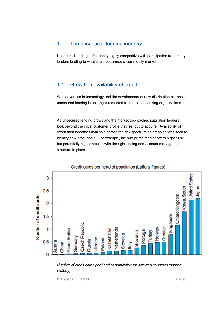#### 1. The unsecured lending industry

Unsecured lending is frequently highly competitive with participation from many lenders leading to what could be termed a commodity market.

#### 1.1 Growth in availability of credit

With advances in technology and the development of new distribution channels unsecured lending is no longer restricted to traditional banking organisations.

As unsecured lending grows and the market approaches saturation lenders look beyond the initial customer profile they set out to acquire. Availability of credit then becomes available across the risk spectrum as organisations seek to identify new profit pools. For example, the sub-prime market offers higher risk but potentially higher returns with the right pricing and account management structure in place.



#### *Number of credit cards per head of population for selected countries (source: Lafferty)*

© Experian Ltd 2007 Page 3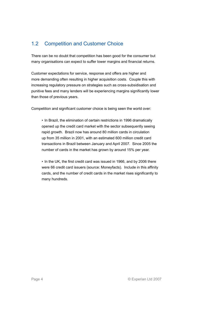# 1.2 Competition and Customer Choice

There can be no doubt that competition has been good for the consumer but many organisations can expect to suffer lower margins and financial returns.

Customer expectations for service, response and offers are higher and more demanding often resulting in higher acquisition costs. Couple this with increasing regulatory pressure on strategies such as cross-subsidisation and punitive fees and many lenders will be experiencing margins significantly lower than those of previous years.

Competition and significant customer choice is being seen the world over:

• In Brazil, the elimination of certain restrictions in 1996 dramatically opened up the credit card market with the sector subsequently seeing rapid growth. Brazil now has around 80 million cards in circulation up from 35 million in 2001, with an estimated 600 million credit card transactions in Brazil between January and April 2007. Since 2005 the number of cards in the market has grown by around 15% per year.

• In the UK, the first credit card was issued in 1966, and by 2006 there were 66 credit card issuers (source: Moneyfacts). Include in this affinity cards, and the number of credit cards in the market rises significantly to many hundreds.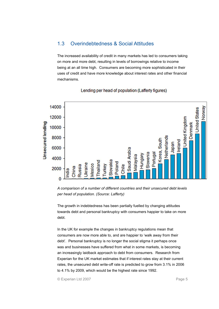## 1.3 Overindebtedness & Social Attitudes

The increased availability of credit in many markets has led to consumers taking on more and more debt, resulting in levels of borrowings relative to income being at an all time high. Consumers are becoming more sophisticated in their uses of credit and have more knowledge about interest rates and other financial mechanisms.



#### Lending per head of population (Lafferty figures)

*A comparison of a number of different countries and their unsecured debt levels per head of population. (Source: Lafferty)*

The growth in indebtedness has been partially fuelled by changing attitudes towards debt and personal bankruptcy with consumers happier to take on more debt.

In the UK for example the changes in bankruptcy regulations mean that consumers are now more able to, and are happier to 'walk away from their debt'. Personal bankruptcy is no longer the social stigma it perhaps once was and businesses have suffered from what in some markets, is becoming an increasingly laidback approach to debt from consumers. Research from Experian for the UK market estimates that if interest rates stay at their current rates, the unsecured debt write-off rate is predicted to grow from 3.1% in 2006 to 4.1% by 2009, which would be the highest rate since 1992.

© Experian Ltd 2007 Page 5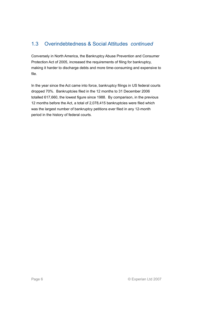# 1.3 Overindebtedness & Social Attitudes *continued*

Conversely in North America, the Bankruptcy Abuse Prevention and Consumer Protection Act of 2005, increased the requirements of filing for bankruptcy, making it harder to discharge debts and more time-consuming and expensive to file.

In the year since the Act came into force, bankruptcy filings in US federal courts dropped 70%. Bankruptcies filed in the 12 months to 31 December 2006 totalled 617,660, the lowest figure since 1988. By comparison, in the previous 12 months before the Act, a total of 2,078,415 bankruptcies were filed which was the largest number of bankruptcy petitions ever filed in any 12-month period in the history of federal courts.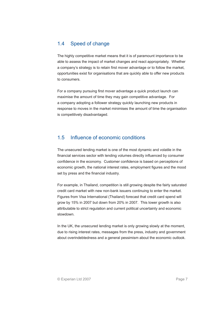## 1.4 Speed of change

The highly competitive market means that it is of paramount importance to be able to assess the impact of market changes and react appropriately. Whether a company's strategy is to retain first mover advantage or to follow the market, opportunities exist for organisations that are quickly able to offer new products to consumers.

For a company pursuing first mover advantage a quick product launch can maximise the amount of time they may gain competitive advantage. For a company adopting a follower strategy quickly launching new products in response to moves in the market minimises the amount of time the organisation is competitively disadvantaged.

## 1.5 Influence of economic conditions

The unsecured lending market is one of the most dynamic and volatile in the financial services sector with lending volumes directly influenced by consumer confidence in the economy. Customer confidence is based on perceptions of economic growth, the national interest rates, employment figures and the mood set by press and the financial industry.

For example, in Thailand, competition is still growing despite the fairly saturated credit card market with new non-bank issuers continuing to enter the market. Figures from Visa International (Thailand) forecast that credit card spend will grow by 15% in 2007 but down from 20% in 2007. This lower growth is also attributable to strict regulation and current political uncertainty and economic slowdown.

In the UK, the unsecured lending market is only growing slowly at the moment, due to rising interest rates, messages from the press, industry and government about overindebtedness and a general pessimism about the economic outlook.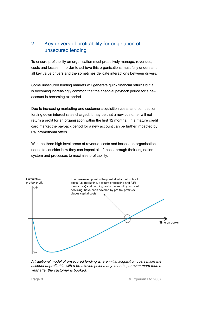# 2. Key drivers of profitability for origination of unsecured lending

To ensure profitability an organisation must proactively manage, revenues, costs and losses. In order to achieve this organisations must fully understand all key value drivers and the sometimes delicate interactions between drivers.

Some unsecured lending markets will generate quick financial returns but it is becoming increasingly common that the financial payback period for a new account is becoming extended.

Due to increasing marketing and customer acquisition costs, and competition forcing down interest rates charged, it may be that a new customer will not return a profit for an organisation within the first 12 months. In a mature credit card market the payback period for a new account can be further impacted by 0% promotional offers

With the three high level areas of revenue, costs and losses, an organisation needs to consider how they can impact all of these through their origination system and processes to maximise profitability.



*A traditional model of unsecured lending where initial acquisition costs make the account unprofitable with a breakeven point many months, or even more than a year after the customer is booked.*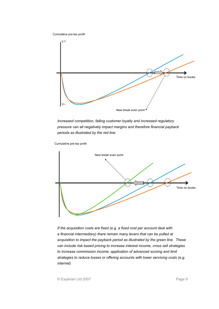Cumulative pre-tax profit



*Increased competition, falling customer loyalty and increased regulatory pressure can all negatively impact margins and therefore financial payback periods as illustrated by the red line.*

Cumulative pre-tax profit



*If the acquisition costs are fixed (e.g. a fixed cost per account deal with a financial intermediary) there remain many levers that can be pulled at acquisition to impact the payback period as illustrated by the green line. These can include risk based pricing to increase interest income, cross sell strategies to increase commission income, application of advanced scoring and limit strategies to reduce losses or offering accounts with lower servicing costs (e.g. internet)*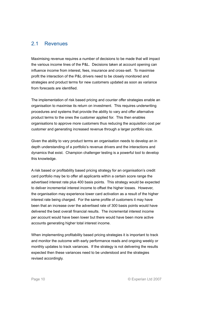#### 2.1 Revenues

Maximising revenue requires a number of decisions to be made that will impact the various income lines of the P&L. Decisions taken at account opening can influence income from interest, fees, insurance and cross-sell. To maximise profit the interaction of the P&L drivers need to be closely monitored and strategies and product terms for new customers updated as soon as variance from forecasts are identified.

The implementation of risk based pricing and counter offer strategies enable an organisation to maximise its return on investment. This requires underwriting procedures and systems that provide the ability to vary and offer alternative product terms to the ones the customer applied for. This then enables organisations to approve more customers thus reducing the acquisition cost per customer and generating increased revenue through a larger portfolio size.

Given the ability to vary product terms an organisation needs to develop an in depth understanding of a portfolio's revenue drivers and the interactions and dynamics that exist. Champion challenger testing is a powerful tool to develop this knowledge.

A risk based or profitability based pricing strategy for an organisation's credit card portfolio may be to offer all applicants within a certain score range the advertised interest rate plus 400 basis points. This strategy would be expected to deliver incremental interest income to offset the higher losses. However, the organisation may experience lower card activation as a result of the higher interest rate being charged. For the same profile of customers it may have been that an increase over the advertised rate of 300 basis points would have delivered the best overall financial results. The incremental interest income per account would have been lower but there would have been more active accounts generating higher total interest income.

When implementing profitability based pricing strategies it is important to track and monitor the outcome with early performance reads and ongoing weekly or monthly updates to track variances. If the strategy is not delivering the results expected then these variances need to be understood and the strategies revised accordingly.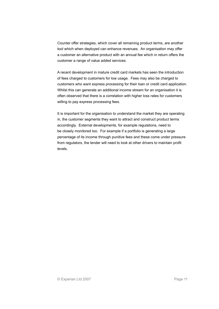Counter offer strategies, which cover all remaining product terms, are another tool which when deployed can enhance revenues. An organisation may offer a customer an alternative product with an annual fee which in return offers the customer a range of value added services.

A recent development in mature credit card markets has seen the introduction of fees charged to customers for low usage. Fees may also be charged to customers who want express processing for their loan or credit card application. Whilst this can generate an additional income stream for an organisation it is often observed that there is a correlation with higher loss rates for customers willing to pay express processing fees.

It is important for the organisation to understand the market they are operating in, the customer segments they want to attract and construct product terms accordingly. External developments, for example regulations, need to be closely monitored too. For example if a portfolio is generating a large percentage of its income through punitive fees and these come under pressure from regulators, the lender will need to look at other drivers to maintain profit levels.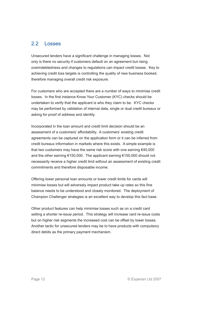## 2.2 Losses

Unsecured lenders have a significant challenge in managing losses. Not only is there no security if customers default on an agreement but rising overindebtedness and changes to regulations can impact credit losses. Key to achieving credit loss targets is controlling the quality of new business booked, therefore managing overall credit risk exposure.

For customers who are accepted there are a number of ways to minimise credit losses. In the first instance Know Your Customer (KYC) checks should be undertaken to verify that the applicant is who they claim to be. KYC checks may be performed by validation of internal data, single or dual credit bureaux or asking for proof of address and identity.

Incorporated in the loan amount and credit limit decision should be an assessment of a customers' affordability. A customers' existing credit agreements can be captured on the application form or it can be inferred from credit bureaux information in markets where this exists. A simple example is that two customers may have the same risk score with one earning €40,000 and the other earning €150,000. The applicant earning €150,000 should not necessarily receive a higher credit limit without an assessment of existing credit commitments and therefore disposable income.

Offering lower personal loan amounts or lower credit limits for cards will minimise losses but will adversely impact product take up rates so this fine balance needs to be understood and closely monitored. The deployment of Champion Challenger strategies is an excellent way to develop this fact base.

Other product features can help minimise losses such as on a credit card setting a shorter re-issue period. This strategy will increase card re-issue costs but on higher risk segments the increased cost can be offset by lower losses. Another tactic for unsecured lenders may be to have products with compulsory direct debits as the primary payment mechanism.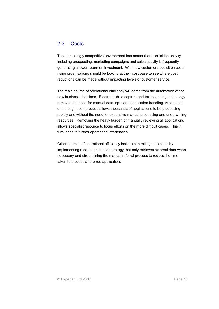## 2.3 Costs

The increasingly competitive environment has meant that acquisition activity, including prospecting, marketing campaigns and sales activity is frequently generating a lower return on investment. With new customer acquisition costs rising organisations should be looking at their cost base to see where cost reductions can be made without impacting levels of customer service.

The main source of operational efficiency will come from the automation of the new business decisions. Electronic data capture and text scanning technology removes the need for manual data input and application handling. Automation of the origination process allows thousands of applications to be processing rapidly and without the need for expensive manual processing and underwriting resources. Removing the heavy burden of manually reviewing all applications allows specialist resource to focus efforts on the more difficult cases. This in turn leads to further operational efficiencies.

Other sources of operational efficiency include controlling data costs by implementing a data enrichment strategy that only retrieves external data when necessary and streamlining the manual referral process to reduce the time taken to process a referred application.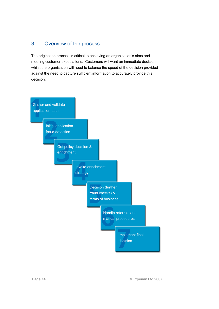# 3 Overview of the process

The origination process is critical to achieving an organisation's aims and meeting customer expectations. Customers will want an immediate decision whilst the organisation will need to balance the speed of the decision provided against the need to capture sufficient information to accurately provide this decision.

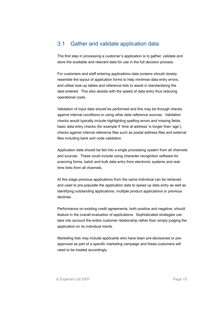# 3.1 Gather and validate application data

The first step in processing a customer's application is to gather, validate and store the available and relevant data for use in the full decision process.

For customers and staff entering applications data screens should closely resemble the layout of application forms to help minimise data entry errors, and utilise look-up tables and reference lists to assist in standardising the data entered. This also assists with the speed of data entry thus reducing operational costs.

Validation of input data should be performed and this may be through checks against internal conditions or using other data reference sources. Validation checks would typically include highlighting spelling errors and missing fields, basic data entry checks (for example if 'time at address' is longer than 'age'), checks against internal reference files such as postal address files and external files including bank sort code validation.

Application data should be fed into a single processing system from all channels and sources. These could include using character recognition software for scanning forms, batch and bulk data entry from electronic systems and realtime links from all channels.

At this stage previous applications from the same individual can be retrieved and used to pre-populate the application data to speed up data entry as well as identifying outstanding applications, multiple product applications or previous declines.

Performance on existing credit agreements, both positive and negative, should feature in the overall evaluation of applications. Sophisticated strategies can take into account the entire customer relationship rather than simply judging the application on its individual merits.

Marketing lists may include applicants who have been pre-decisioned or preapproved as part of a specific marketing campaign and these customers will need to be treated accordingly.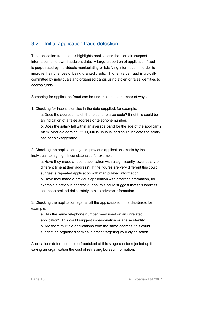# 3.2 Initial application fraud detection

The application fraud check highlights applications that contain suspect information or known fraudulent data. A large proportion of application fraud is perpetrated by individuals manipulating or falsifying information in order to improve their chances of being granted credit. Higher value fraud is typically committed by individuals and organised gangs using stolen or false identities to access funds.

Screening for application fraud can be undertaken in a number of ways:

1. Checking for inconsistencies in the data supplied, for example:

a. Does the address match the telephone area code? If not this could be an indication of a false address or telephone number.

b. Does the salary fall within an average band for the age of the applicant? An 18 year old earning €100,000 is unusual and could indicate the salary has been exaggerated.

2. Checking the application against previous applications made by the individual, to highlight inconsistencies for example:

a. Have they made a recent application with a significantly lower salary or different time at their address? If the figures are very different this could suggest a repeated application with manipulated information. b. Have they made a previous application with different information, for example a previous address? If so, this could suggest that this address has been omitted deliberately to hide adverse information.

3. Checking the application against all the applications in the database, for example:

a. Has the same telephone number been used on an unrelated application? This could suggest impersonation or a false identity. b. Are there multiple applications from the same address, this could suggest an organised criminal element targeting your organisation.

Applications determined to be fraudulent at this stage can be rejected up front saving an organisation the cost of retrieving bureau information.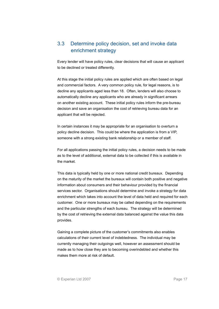# 3.3 Determine policy decision, set and invoke data enrichment strategy

Every lender will have policy rules, clear decisions that will cause an applicant to be declined or treated differently.

At this stage the initial policy rules are applied which are often based on legal and commercial factors. A very common policy rule, for legal reasons, is to decline any applicants aged less than 18. Often, lenders will also choose to automatically decline any applicants who are already in significant arrears on another existing account. These initial policy rules inform the pre-bureau decision and save an organisation the cost of retrieving bureau data for an applicant that will be rejected.

In certain instances it may be appropriate for an organisation to overturn a policy decline decision. This could be where the application is from a VIP, someone with a strong existing bank relationship or a member of staff.

For all applications passing the initial policy rules, a decision needs to be made as to the level of additional, external data to be collected if this is available in the market.

This data is typically held by one or more national credit bureaux. Depending on the maturity of the market the bureaux will contain both positive and negative information about consumers and their behaviour provided by the financial services sector. Organisations should determine and invoke a strategy for data enrichment which takes into account the level of data held and required for each customer. One or more bureaux may be called depending on the requirements and the particular strengths of each bureau. The strategy will be determined by the cost of retrieving the external data balanced against the value this data provides.

Gaining a complete picture of the customer's commitments also enables calculations of their current level of indebtedness. The individual may be currently managing their outgoings well, however an assessment should be made as to how close they are to becoming overindebted and whether this makes them more at risk of default.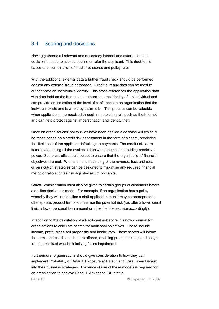## 3.4 Scoring and decisions

Having gathered all relevant and necessary internal and external data, a decision is made to accept, decline or refer the applicant. This decision is based on a combination of predictive scores and policy rules.

With the additional external data a further fraud check should be performed against any external fraud databases. Credit bureaux data can be used to authenticate an individual's identity. This cross-references the application data with data held on the bureaux to authenticate the identity of the individual and can provide an indication of the level of confidence to an organisation that the individual exists and is who they claim to be. This process can be valuable when applications are received through remote channels such as the Internet and can help protect against impersonation and identity theft.

Once an organisations' policy rules have been applied a decision will typically be made based on a credit risk assessment in the form of a score, predicting the likelihood of the applicant defaulting on payments. The credit risk score is calculated using all the available data with external data adding predictive power. Score cut-offs should be set to ensure that the organisations' financial objectives are met. With a full understanding of the revenue, loss and cost drivers cut-off strategies can be designed to maximise any required financial metric or ratio such as risk adjusted return on capital

Careful consideration must also be given to certain groups of customers before a decline decision is made. For example, if an organisation has a policy whereby they will not decline a staff application then it may be appropriate to offer specific product terms to minimise the potential risk (i.e. offer a lower credit limit, a lower personal loan amount or price the interest rate accordingly).

In addition to the calculation of a traditional risk score it is now common for organisations to calculate scores for additional objectives. These include income, profit, cross-sell propensity and bankruptcy. These scores will inform the terms and conditions that are offered, enabling product take up and usage to be maximised whilst minimising future impairment.

Furthermore, organisations should give consideration to how they can implement Probability of Default, Exposure at Default and Loss Given Default into their business strategies. Evidence of use of these models is required for an organisation to achieve Basell II Advanced IRB status.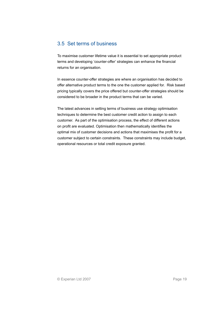# 3.5 Set terms of business

To maximise customer lifetime value it is essential to set appropriate product terms and developing 'counter-offer' strategies can enhance the financial returns for an organisation.

In essence counter-offer strategies are where an organisation has decided to offer alternative product terms to the one the customer applied for. Risk based pricing typically covers the price offered but counter-offer strategies should be considered to be broader in the product terms that can be varied.

The latest advances in setting terms of business use strategy optimisation techniques to determine the best customer credit action to assign to each customer. As part of the optimisation process, the effect of different actions on profit are evaluated. Optimisation then mathematically identifies the optimal mix of customer decisions and actions that maximises the profit for a customer subject to certain constraints. These constraints may include budget, operational resources or total credit exposure granted.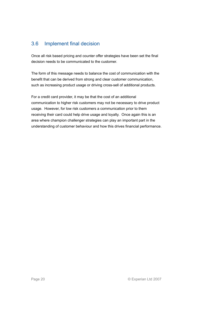# 3.6 Implement final decision

Once all risk based pricing and counter offer strategies have been set the final decision needs to be communicated to the customer.

The form of this message needs to balance the cost of communication with the benefit that can be derived from strong and clear customer communication, such as increasing product usage or driving cross-sell of additional products.

For a credit card provider, it may be that the cost of an additional communication to higher risk customers may not be necessary to drive product usage. However, for low risk customers a communication prior to them receiving their card could help drive usage and loyalty. Once again this is an area where champion challenger strategies can play an important part in the understanding of customer behaviour and how this drives financial performance.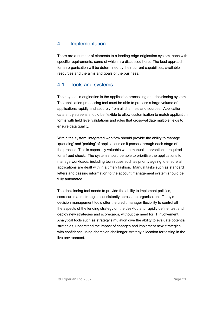## 4. Implementation

There are a number of elements to a leading edge origination system, each with specific requirements, some of which are discussed here. The best approach for an organisation will be determined by their current capabilities, available resources and the aims and goals of the business.

#### 4.1 Tools and systems

The key tool in origination is the application processing and decisioning system. The application processing tool must be able to process a large volume of applications rapidly and securely from all channels and sources. Application data entry screens should be flexible to allow customisation to match application forms with field level validations and rules that cross-validate multiple fields to ensure data quality.

Within the system, integrated workflow should provide the ability to manage 'queueing' and 'parking' of applications as it passes through each stage of the process. This is especially valuable when manual intervention is required for a fraud check. The system should be able to prioritise the applications to manage workloads, including techniques such as priority ageing to ensure all applications are dealt with in a timely fashion. Manual tasks such as standard letters and passing information to the account management system should be fully automated.

The decisioning tool needs to provide the ability to implement policies, scorecards and strategies consistently across the organisation. Today's decision management tools offer the credit manager flexibility to control all the aspects of the lending strategy on the desktop and rapidly define, test and deploy new strategies and scorecards, without the need for IT involvement. Analytical tools such as strategy simulation give the ability to evaluate potential strategies, understand the impact of changes and implement new strategies with confidence using champion challenger strategy allocation for testing in the live environment.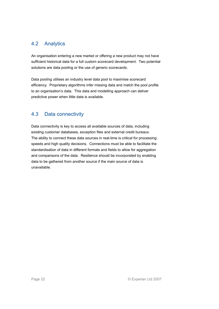## 4.2 Analytics

An organisation entering a new market or offering a new product may not have sufficient historical data for a full custom scorecard development. Two potential solutions are data pooling or the use of generic scorecards.

Data pooling utilises an industry level data pool to maximise scorecard efficiency. Proprietary algorithms infer missing data and match the pool profile to an organisation's data. This data and modelling approach can deliver predictive power when little data is available.

# 4.3 Data connectivity

Data connectivity is key to access all available sources of data, including existing customer databases, exception files and external credit bureaux. The ability to connect these data sources in real-time is critical for processing speeds and high quality decisions. Connections must be able to facilitate the standardisation of data in different formats and fields to allow for aggregation and comparisons of the data. Resilience should be incorporated by enabling data to be gathered from another source if the main source of data is unavailable.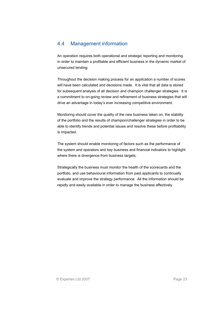# 4.4 Management information

An operation requires both operational and strategic reporting and monitoring in order to maintain a profitable and efficient business in the dynamic market of unsecured lending.

Throughout the decision making process for an application a number of scores will have been calculated and decisions made. It is vital that all data is stored for subsequent analysis of all decision and champion challenger strategies. It is a commitment to on-going review and refinement of business strategies that will drive an advantage in today's ever increasing competitive environment.

Monitoring should cover the quality of the new business taken on, the stability of the portfolio and the results of champion/challenger strategies in order to be able to identify trends and potential issues and resolve these before profitability is impacted.

The system should enable monitoring of factors such as the performance of the system and operators and key business and financial indicators to highlight where there is divergence from business targets.

Strategically the business must monitor the health of the scorecards and the portfolio, and use behavioural information from past applicants to continually evaluate and improve the strategy performance. All the information should be rapidly and easily available in order to manage the business effectively.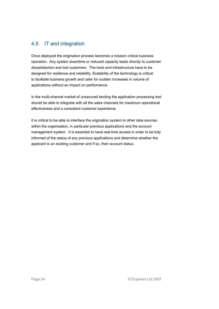# 4.5 IT and integration

Once deployed the origination process becomes a mission critical business operation. Any system downtime or reduced capacity leads directly to customer dissatisfaction and lost customers. The tools and infrastructure have to be designed for resilience and reliability. Scalability of the technology is critical to facilitate business growth and cater for sudden increases in volume of applications without an impact on performance.

In the multi-channel market of unsecured lending the application processing tool should be able to integrate with all the sales channels for maximum operational effectiveness and a consistent customer experience.

It is critical to be able to interface the origination system to other data sources within the organisation, in particular previous applications and the account management system. It is essential to have real-time access in order to be fully informed of the status of any previous applications and determine whether the applicant is an existing customer and if so, their account status.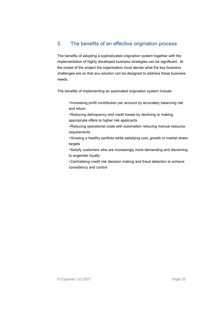# 5. The benefits of an effective origination process

The benefits of adopting a sophisticated origination system together with the implementation of highly developed business strategies can be significant. At the outset of the project the organisation must decide what the key business challenges are so that any solution can be designed to address these business needs.

The benefits of implementing an automated origination system include:

•Increasing profit contribution per account by accurately balancing risk and return

•Reducing delinquency and credit losses by declining or making appropriate offers to higher risk applicants

•Reducing operational costs with automation reducing manual resource requirements

•Growing a healthy portfolio while satisfying cost, growth or market share targets

•Satisfy customers who are increasingly more demanding and discerning to engender loyalty

•Centralising credit risk decision making and fraud detection to achieve consistency and control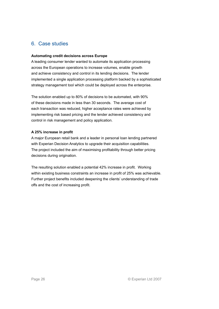## 6. Case studies

#### **Automating credit decisions across Europe**

A leading consumer lender wanted to automate its application processing across the European operations to increase volumes, enable growth and achieve consistency and control in its lending decisions. The lender implemented a single application processing platform backed by a sophisticated strategy management tool which could be deployed across the enterprise.

The solution enabled up to 80% of decisions to be automated, with 90% of these decisions made in less than 30 seconds. The average cost of each transaction was reduced, higher acceptance rates were achieved by implementing risk based pricing and the lender achieved consistency and control in risk management and policy application.

#### **A 25% increase in profit**

A major European retail bank and a leader in personal loan lending partnered with Experian Decision Analytics to upgrade their acquisition capabilities. The project included the aim of maximising profitability through better pricing decisions during origination.

The resulting solution enabled a potential 42% increase in profit. Working within existing business constraints an increase in profit of 25% was achievable. Further project benefits included deepening the clients' understanding of trade offs and the cost of increasing profit.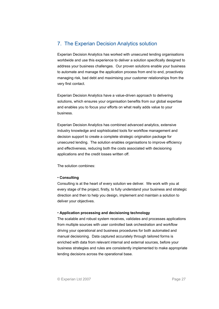## 7. The Experian Decision Analytics solution

Experian Decision Analytics has worked with unsecured lending organisations worldwide and use this experience to deliver a solution specifically designed to address your business challenges. Our proven solutions enable your business to automate and manage the application process from end to end, proactively managing risk, bad debt and maximising your customer relationships from the very first contact.

Experian Decision Analytics have a value-driven approach to delivering solutions, which ensures your organisation benefits from our global expertise and enables you to focus your efforts on what really adds value to your business.

Experian Decision Analytics has combined advanced analytics, extensive industry knowledge and sophisticated tools for workflow management and decision support to create a complete strategic origination package for unsecured lending. The solution enables organisations to improve efficiency and effectiveness, reducing both the costs associated with decisioning applications and the credit losses written off.

The solution combines:

#### • **Consulting**

Consulting is at the heart of every solution we deliver. We work with you at every stage of the project, firstly, to fully understand your business and strategic direction and then to help you design, implement and maintain a solution to deliver your objectives.

#### • **Application processing and decisioning technology**

The scalable and robust system receives, validates and processes applications from multiple sources with user controlled task orchestration and workflow driving your operational and business procedures for both automated and manual decisioning. Data captured accurately through tailored forms is enriched with data from relevant internal and external sources, before your business strategies and rules are consistently implemented to make appropriate lending decisions across the operational base.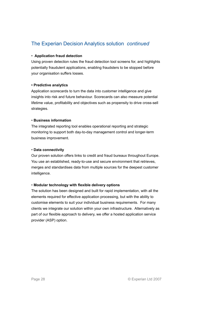# The Experian Decision Analytics solution *continued*

#### • **Application fraud detection**

Using proven detection rules the fraud detection tool screens for, and highlights potentially fraudulent applications, enabling fraudsters to be stopped before your organisation suffers losses.

#### **• Predictive analytics**

Application scorecards to turn the data into customer intelligence and give insights into risk and future behaviour. Scorecards can also measure potential lifetime value, profitability and objectives such as propensity to drive cross-sell strategies.

#### • **Business information**

The integrated reporting tool enables operational reporting and strategic monitoring to support both day-to-day management control and longer-term business improvement.

#### • **Data connectivity**

Our proven solution offers links to credit and fraud bureaux throughout Europe. You use an established, ready-to-use and secure environment that retrieves, merges and standardises data from multiple sources for the deepest customer intelligence.

#### • **Modular technology with flexible delivery options**

The solution has been designed and built for rapid implementation, with all the elements required for effective application processing, but with the ability to customise elements to suit your individual business requirements. For many clients we integrate our solution within your own infrastructure. Alternatively as part of our flexible approach to delivery, we offer a hosted application service provider (ASP) option.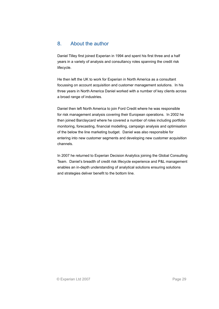# 8. About the author

Daniel Tilley first joined Experian in 1994 and spent his first three and a half years in a variety of analysis and consultancy roles spanning the credit risk lifecycle.

He then left the UK to work for Experian in North America as a consultant focussing on account acquisition and customer management solutions. In his three years in North America Daniel worked with a number of key clients across a broad range of industries.

Daniel then left North America to join Ford Credit where he was responsible for risk management analysis covering their European operations. In 2002 he then joined Barclaycard where he covered a number of roles including portfolio monitoring, forecasting, financial modelling, campaign analysis and optimisation of the below the line marketing budget. Daniel was also responsible for entering into new customer segments and developing new customer acquisition channels.

In 2007 he returned to Experian Decision Analytics joining the Global Consulting Team. Daniel's breadth of credit risk lifecycle experience and P&L management enables an in-depth understanding of analytical solutions ensuring solutions and strategies deliver benefit to the bottom line.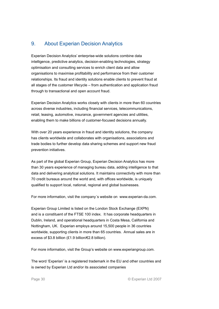# 9. About Experian Decision Analytics

Experian Decision Analytics' enterprise-wide solutions combine data intelligence, predictive analytics, decision-enabling technologies, strategy optimisation and consulting services to enrich client data and allow organisations to maximise profitability and performance from their customer relationships. Its fraud and identity solutions enable clients to prevent fraud at all stages of the customer lifecycle – from authentication and application fraud through to transactional and open account fraud.

Experian Decision Analytics works closely with clients in more than 60 countries across diverse industries, including financial services, telecommunications, retail, leasing, automotive, insurance, government agencies and utilities, enabling them to make billions of customer-focused decisions annually.

With over 20 years experience in fraud and identity solutions, the company has clients worldwide and collaborates with organisations, associations and trade bodies to further develop data sharing schemes and support new fraud prevention initiatives.

As part of the global Experian Group, Experian Decision Analytics has more than 30 years experience of managing bureau data, adding intelligence to that data and delivering analytical solutions. It maintains connectivity with more than 70 credit bureaus around the world and, with offices worldwide, is uniquely qualified to support local, national, regional and global businesses.

For more information, visit the company´s website on www.experian-da.com.

Experian Group Limited is listed on the London Stock Exchange (EXPN) and is a constituent of the FTSE 100 index. It has corporate headquarters in Dublin, Ireland, and operational headquarters in Costa Mesa, California and Nottingham, UK. Experian employs around 15,500 people in 36 countries worldwide, supporting clients in more than 65 countries. Annual sales are in excess of \$3.8 billion (£1.9 billion/€2.8 billion).

For more information, visit the Group's website on www.experiangroup.com.

The word 'Experian' is a registered trademark in the EU and other countries and is owned by Experian Ltd and/or its associated companies